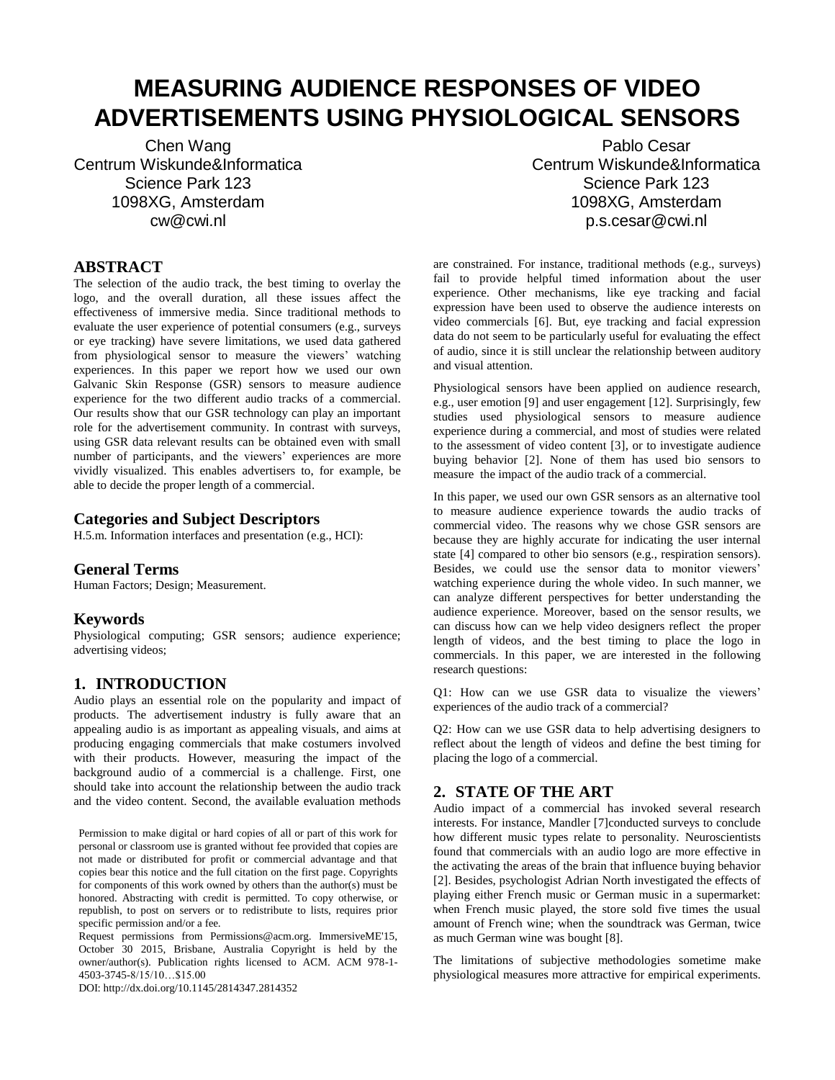# **MEASURING AUDIENCE RESPONSES OF VIDEO ADVERTISEMENTS USING PHYSIOLOGICAL SENSORS**

Chen Wang Centrum Wiskunde&Informatica Science Park 123 1098XG, Amsterdam cw@cwi.nl

#### **ABSTRACT**

The selection of the audio track, the best timing to overlay the logo, and the overall duration, all these issues affect the effectiveness of immersive media. Since traditional methods to evaluate the user experience of potential consumers (e.g., surveys or eye tracking) have severe limitations, we used data gathered from physiological sensor to measure the viewers' watching experiences. In this paper we report how we used our own Galvanic Skin Response (GSR) sensors to measure audience experience for the two different audio tracks of a commercial. Our results show that our GSR technology can play an important role for the advertisement community. In contrast with surveys, using GSR data relevant results can be obtained even with small number of participants, and the viewers' experiences are more vividly visualized. This enables advertisers to, for example, be able to decide the proper length of a commercial.

#### **Categories and Subject Descriptors**

H.5.m. Information interfaces and presentation (e.g., HCI):

## **General Terms**

Human Factors; Design; Measurement.

## **Keywords**

Physiological computing; GSR sensors; audience experience; advertising videos;

# **1. INTRODUCTION**

Audio plays an essential role on the popularity and impact of products. The advertisement industry is fully aware that an appealing audio is as important as appealing visuals, and aims at producing engaging commercials that make costumers involved with their products. However, measuring the impact of the background audio of a commercial is a challenge. First, one should take into account the relationship between the audio track and the video content. Second, the available evaluation methods

Permission to make digital or hard copies of all or part of this work for personal or classroom use is granted without fee provided that copies are not made or distributed for profit or commercial advantage and that copies bear this notice and the full citation on the first page. Copyrights for components of this work owned by others than the author(s) must be honored. Abstracting with credit is permitted. To copy otherwise, or republish, to post on servers or to redistribute to lists, requires prior specific permission and/or a fee.

Request permissions from Permissions@acm.org. ImmersiveME'15, October 30 2015, Brisbane, Australia Copyright is held by the owner/author(s). Publication rights licensed to ACM. ACM 978-1- 4503-3745-8/15/10…\$15.00

DOI: http://dx.doi.org/10.1145/2814347.2814352

Pablo Cesar Centrum Wiskunde&Informatica Science Park 123 1098XG, Amsterdam p.s.cesar@cwi.nl

are constrained. For instance, traditional methods (e.g., surveys) fail to provide helpful timed information about the user experience. Other mechanisms, like eye tracking and facial expression have been used to observe the audience interests on video commercials [\[6\].](#page-3-0) But, eye tracking and facial expression data do not seem to be particularly useful for evaluating the effect of audio, since it is still unclear the relationship between auditory and visual attention.

Physiological sensors have been applied on audience research, e.g., user emotion [9] and user engagement [\[12\].](#page-3-1) Surprisingly, few studies used physiological sensors to measure audience experience during a commercial, and most of studies were related to the assessment of video content [\[3\],](#page-3-2) or to investigate audience buying behavior [\[2\].](#page-3-3) None of them has used bio sensors to measure the impact of the audio track of a commercial.

In this paper, we used our own GSR sensors as an alternative tool to measure audience experience towards the audio tracks of commercial video. The reasons why we chose GSR sensors are because they are highly accurate for indicating the user internal state [\[4\]](#page-3-4) compared to other bio sensors (e.g., respiration sensors). Besides, we could use the sensor data to monitor viewers' watching experience during the whole video. In such manner, we can analyze different perspectives for better understanding the audience experience. Moreover, based on the sensor results, we can discuss how can we help video designers reflect the proper length of videos, and the best timing to place the logo in commercials. In this paper, we are interested in the following research questions:

Q1: How can we use GSR data to visualize the viewers' experiences of the audio track of a commercial?

Q2: How can we use GSR data to help advertising designers to reflect about the length of videos and define the best timing for placing the logo of a commercial.

## **2. STATE OF THE ART**

Audio impact of a commercial has invoked several research interests. For instance, Mandler [\[7\]c](#page-3-5)onducted surveys to conclude how different music types relate to personality. Neuroscientists found that commercials with an audio logo are more effective in the activating the areas of the brain that influence buying behavior [\[2\].](#page-3-3) Besides, psychologist Adrian North investigated the effects of playing either French music or German music in a supermarket: when French music played, the store sold five times the usual amount of French wine; when the soundtrack was German, twice as much German wine was bought [8].

The limitations of subjective methodologies sometime make physiological measures more attractive for empirical experiments.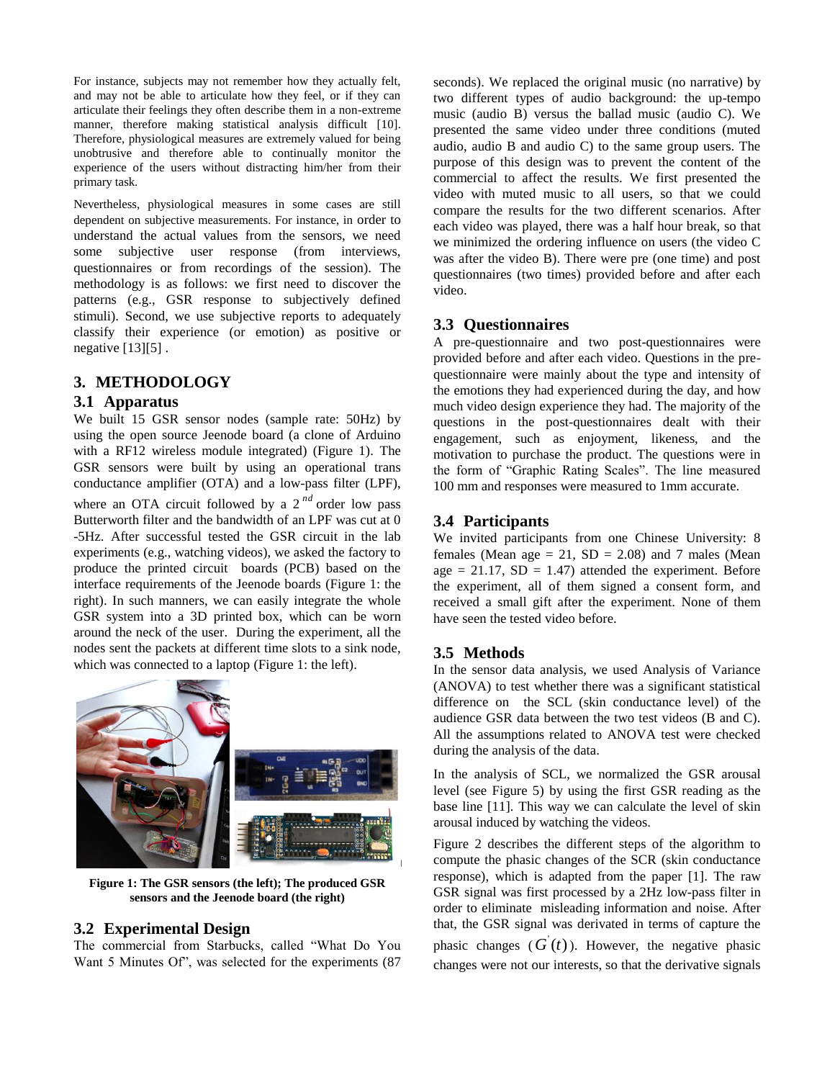For instance, subjects may not remember how they actually felt, and may not be able to articulate how they feel, or if they can articulate their feelings they often describe them in a non-extreme manner, therefore making statistical analysis difficult [\[10\].](#page-3-6) Therefore, physiological measures are extremely valued for being unobtrusive and therefore able to continually monitor the experience of the users without distracting him/her from their primary task.

Nevertheless, physiological measures in some cases are still dependent on subjective measurements. For instance, in order to understand the actual values from the sensors, we need some subjective user response (from interviews, questionnaires or from recordings of the session). The methodology is as follows: we first need to discover the patterns (e.g., GSR response to subjectively defined stimuli). Second, we use subjective reports to adequately classify their experience (or emotion) as positive or negative [\[13\]\[5\]](#page-3-7) .

# **3. METHODOLOGY**

## **3.1 Apparatus**

We built 15 GSR sensor nodes (sample rate: 50Hz) by using the open source Jeenode board (a clone of Arduino with a RF12 wireless module integrated) (Figure 1). The GSR sensors were built by using an operational trans conductance amplifier (OTA) and a low-pass filter (LPF), where an OTA circuit followed by a  $2^{nd}$  order low pass Butterworth filter and the bandwidth of an LPF was cut at 0 -5Hz. After successful tested the GSR circuit in the lab experiments (e.g., watching videos), we asked the factory to produce the printed circuit boards (PCB) based on the interface requirements of the Jeenode boards (Figure 1: the right). In such manners, we can easily integrate the whole GSR system into a 3D printed box, which can be worn around the neck of the user. During the experiment, all the nodes sent the packets at different time slots to a sink node, which was connected to a laptop (Figure 1: the left).



**Figure 1: The GSR sensors (the left); The produced GSR sensors and the Jeenode board (the right)**

# **3.2 Experimental Design**

The commercial from Starbucks, called "What Do You Want 5 Minutes Of", was selected for the experiments (87

seconds). We replaced the original music (no narrative) by two different types of audio background: the up-tempo music (audio B) versus the ballad music (audio C). We presented the same video under three conditions (muted audio, audio B and audio C) to the same group users. The purpose of this design was to prevent the content of the commercial to affect the results. We first presented the video with muted music to all users, so that we could compare the results for the two different scenarios. After each video was played, there was a half hour break, so that we minimized the ordering influence on users (the video C was after the video B). There were pre (one time) and post questionnaires (two times) provided before and after each video.

# **3.3 Questionnaires**

A pre-questionnaire and two post-questionnaires were provided before and after each video. Questions in the prequestionnaire were mainly about the type and intensity of the emotions they had experienced during the day, and how much video design experience they had. The majority of the questions in the post-questionnaires dealt with their engagement, such as enjoyment, likeness, and the motivation to purchase the product. The questions were in the form of "Graphic Rating Scales". The line measured 100 mm and responses were measured to 1mm accurate.

# **3.4 Participants**

We invited participants from one Chinese University: 8 females (Mean age  $= 21$ , SD  $= 2.08$ ) and 7 males (Mean age =  $21.17$ , SD = 1.47) attended the experiment. Before the experiment, all of them signed a consent form, and received a small gift after the experiment. None of them have seen the tested video before.

# **3.5 Methods**

In the sensor data analysis, we used Analysis of Variance (ANOVA) to test whether there was a significant statistical difference on the SCL (skin conductance level) of the audience GSR data between the two test videos (B and C). All the assumptions related to ANOVA test were checked during the analysis of the data.

In the analysis of SCL, we normalized the GSR arousal level (see Figure 5) by using the first GSR reading as the base line [\[11\].](#page-3-8) This way we can calculate the level of skin arousal induced by watching the videos.

Figure 2 describes the different steps of the algorithm to compute the phasic changes of the SCR (skin conductance response), which is adapted from the paper [\[1\].](#page-3-9) The raw GSR signal was first processed by a 2Hz low-pass filter in order to eliminate misleading information and noise. After that, the GSR signal was derivated in terms of capture the phasic changes  $(G'(t))$ . However, the negative phasic

changes were not our interests, so that the derivative signals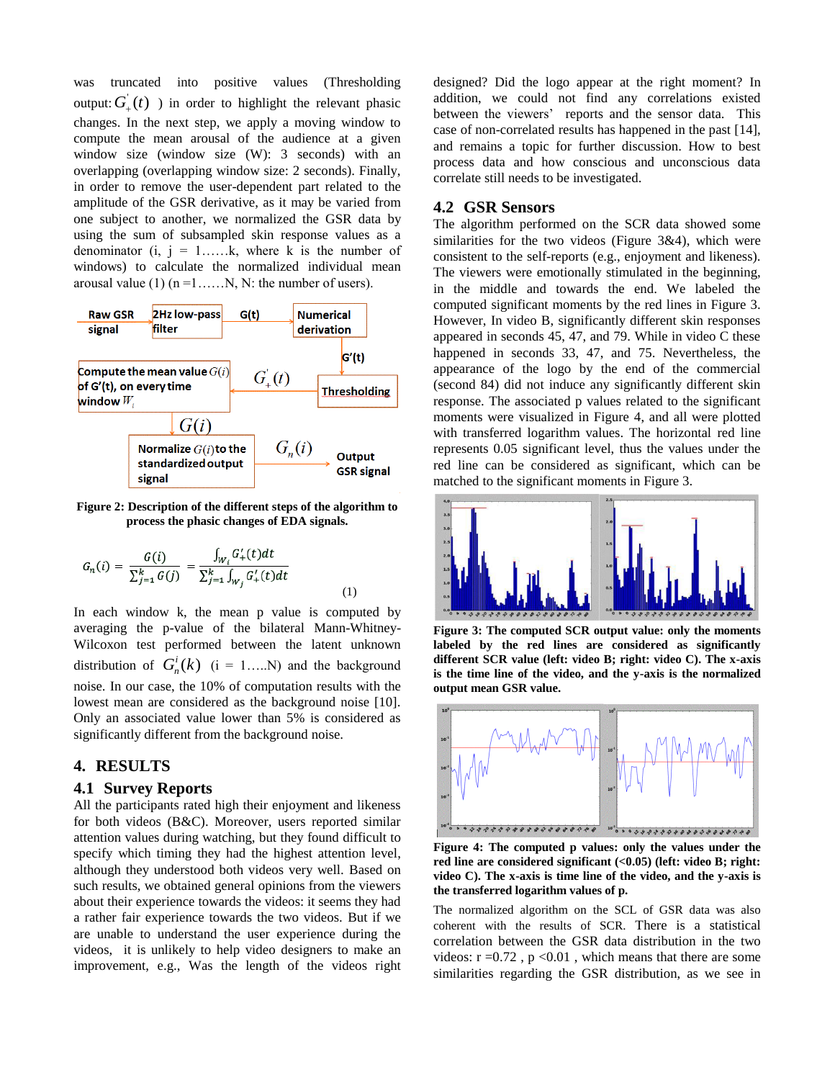was truncated into positive values (Thresholding output:  $G_{+}^{'}(t)$  ) in order to highlight the relevant phasic changes. In the next step, we apply a moving window to compute the mean arousal of the audience at a given window size (window size (W): 3 seconds) with an overlapping (overlapping window size: 2 seconds). Finally, in order to remove the user-dependent part related to the amplitude of the GSR derivative, as it may be varied from one subject to another, we normalized the GSR data by using the sum of subsampled skin response values as a denominator  $(i, j = 1, \ldots, k$ , where k is the number of windows) to calculate the normalized individual mean arousal value (1)  $(n = 1, \ldots, N, N)$ : the number of users).



**Figure 2: Description of the different steps of the algorithm to process the phasic changes of EDA signals.**

$$
G_n(i) = \frac{G(i)}{\sum_{j=1}^k G(j)} = \frac{\int_{W_i} G'_+(t)dt}{\sum_{j=1}^k \int_{W_j} G'_+(t)dt}
$$
\n(1)

In each window k, the mean p value is computed by averaging the p-value of the bilateral Mann-Whitney-Wilcoxon test performed between the latent unknown distribution of  $G_n^i(k)$  $\binom{n}{n}$  (i = 1.....N) and the background noise. In our case, the 10% of computation results with the lowest mean are considered as the background noise [10]. Only an associated value lower than 5% is considered as significantly different from the background noise.

## **4. RESULTS**

#### **4.1 Survey Reports**

All the participants rated high their enjoyment and likeness for both videos (B&C). Moreover, users reported similar attention values during watching, but they found difficult to specify which timing they had the highest attention level, although they understood both videos very well. Based on such results, we obtained general opinions from the viewers about their experience towards the videos: it seems they had a rather fair experience towards the two videos. But if we are unable to understand the user experience during the videos, it is unlikely to help video designers to make an improvement, e.g., Was the length of the videos right designed? Did the logo appear at the right moment? In addition, we could not find any correlations existed between the viewers' reports and the sensor data. This case of non-correlated results has happened in the pas[t \[14\],](#page-3-10) and remains a topic for further discussion. How to best process data and how conscious and unconscious data correlate still needs to be investigated.

#### **4.2 GSR Sensors**

The algorithm performed on the SCR data showed some similarities for the two videos (Figure 3&4), which were consistent to the self-reports (e.g., enjoyment and likeness). The viewers were emotionally stimulated in the beginning, in the middle and towards the end. We labeled the computed significant moments by the red lines in Figure 3. However, In video B, significantly different skin responses appeared in seconds 45, 47, and 79. While in video C these happened in seconds 33, 47, and 75. Nevertheless, the appearance of the logo by the end of the commercial (second 84) did not induce any significantly different skin response. The associated p values related to the significant moments were visualized in Figure 4, and all were plotted with transferred logarithm values. The horizontal red line represents 0.05 significant level, thus the values under the red line can be considered as significant, which can be matched to the significant moments in Figure 3.



**Figure 3: The computed SCR output value: only the moments labeled by the red lines are considered as significantly different SCR value (left: video B; right: video C). The x-axis is the time line of the video, and the y-axis is the normalized output mean GSR value.**



**Figure 4: The computed p values: only the values under the red line are considered significant (<0.05) (left: video B; right: video C). The x-axis is time line of the video, and the y-axis is the transferred logarithm values of p.**

The normalized algorithm on the SCL of GSR data was also coherent with the results of SCR. There is a statistical correlation between the GSR data distribution in the two videos:  $r = 0.72$ ,  $p < 0.01$ , which means that there are some similarities regarding the GSR distribution, as we see in